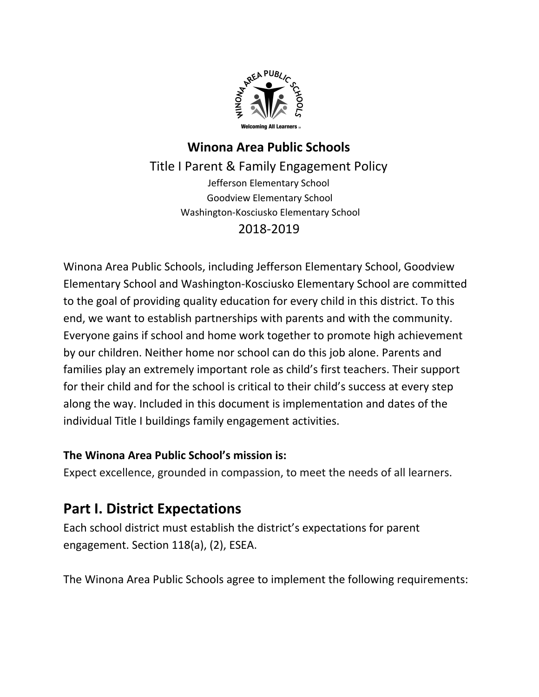

## **Winona Area Public Schools** Title I Parent & Family Engagement Policy Jefferson Elementary School Goodview Elementary School Washington-Kosciusko Elementary School 2018-2019

Winona Area Public Schools, including Jefferson Elementary School, Goodview Elementary School and Washington-Kosciusko Elementary School are committed to the goal of providing quality education for every child in this district. To this end, we want to establish partnerships with parents and with the community. Everyone gains if school and home work together to promote high achievement by our children. Neither home nor school can do this job alone. Parents and families play an extremely important role as child's first teachers. Their support for their child and for the school is critical to their child's success at every step along the way. Included in this document is implementation and dates of the individual Title I buildings family engagement activities.

#### **The Winona Area Public School's mission is:**

Expect excellence, grounded in compassion, to meet the needs of all learners.

## **Part I. District Expectations**

Each school district must establish the district's expectations for parent engagement. Section 118(a), (2), ESEA.

The Winona Area Public Schools agree to implement the following requirements: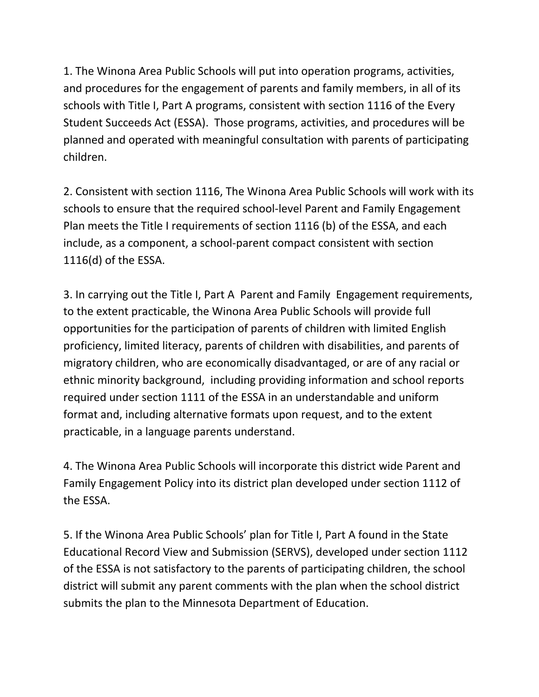1. The Winona Area Public Schools will put into operation programs, activities, and procedures for the engagement of parents and family members, in all of its schools with Title I, Part A programs, consistent with section 1116 of the Every Student Succeeds Act (ESSA). Those programs, activities, and procedures will be planned and operated with meaningful consultation with parents of participating children.

2. Consistent with section 1116, The Winona Area Public Schools will work with its schools to ensure that the required school-level Parent and Family Engagement Plan meets the Title I requirements of section 1116 (b) of the ESSA, and each include, as a component, a school-parent compact consistent with section 1116(d) of the ESSA.

3. In carrying out the Title I, Part A Parent and Family Engagement requirements, to the extent practicable, the Winona Area Public Schools will provide full opportunities for the participation of parents of children with limited English proficiency, limited literacy, parents of children with disabilities, and parents of migratory children, who are economically disadvantaged, or are of any racial or ethnic minority background, including providing information and school reports required under section 1111 of the ESSA in an understandable and uniform format and, including alternative formats upon request, and to the extent practicable, in a language parents understand.

4. The Winona Area Public Schools will incorporate this district wide Parent and Family Engagement Policy into its district plan developed under section 1112 of the ESSA.

5. If the Winona Area Public Schools' plan for Title I, Part A found in the State Educational Record View and Submission (SERVS), developed under section 1112 of the ESSA is not satisfactory to the parents of participating children, the school district will submit any parent comments with the plan when the school district submits the plan to the Minnesota Department of Education.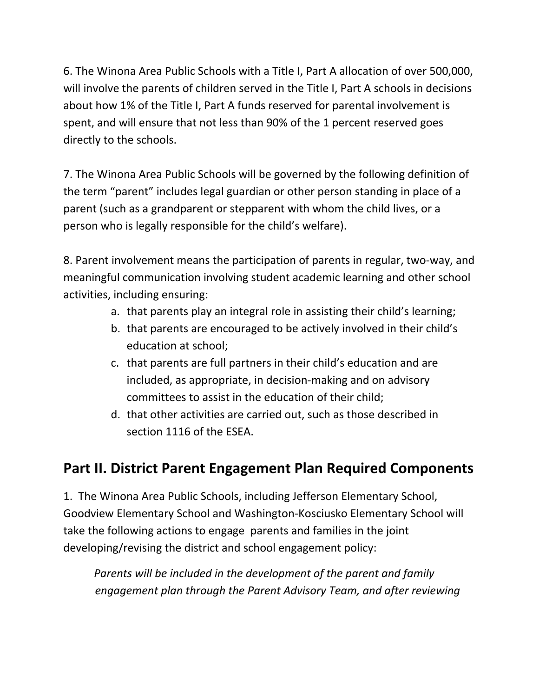6. The Winona Area Public Schools with a Title I, Part A allocation of over 500,000, will involve the parents of children served in the Title I, Part A schools in decisions about how 1% of the Title I, Part A funds reserved for parental involvement is spent, and will ensure that not less than 90% of the 1 percent reserved goes directly to the schools.

7. The Winona Area Public Schools will be governed by the following definition of the term "parent" includes legal guardian or other person standing in place of a parent (such as a grandparent or stepparent with whom the child lives, or a person who is legally responsible for the child's welfare).

8. Parent involvement means the participation of parents in regular, two-way, and meaningful communication involving student academic learning and other school activities, including ensuring:

- a. that parents play an integral role in assisting their child's learning;
- b. that parents are encouraged to be actively involved in their child's education at school;
- c. that parents are full partners in their child's education and are included, as appropriate, in decision-making and on advisory committees to assist in the education of their child;
- d. that other activities are carried out, such as those described in section 1116 of the ESEA.

# **Part II. District Parent Engagement Plan Required Components**

1. The Winona Area Public Schools, including Jefferson Elementary School, Goodview Elementary School and Washington-Kosciusko Elementary School will take the following actions to engage parents and families in the joint developing/revising the district and school engagement policy:

*Parents will be included in the development of the parent and family engagement plan through the Parent Advisory Team, and after reviewing*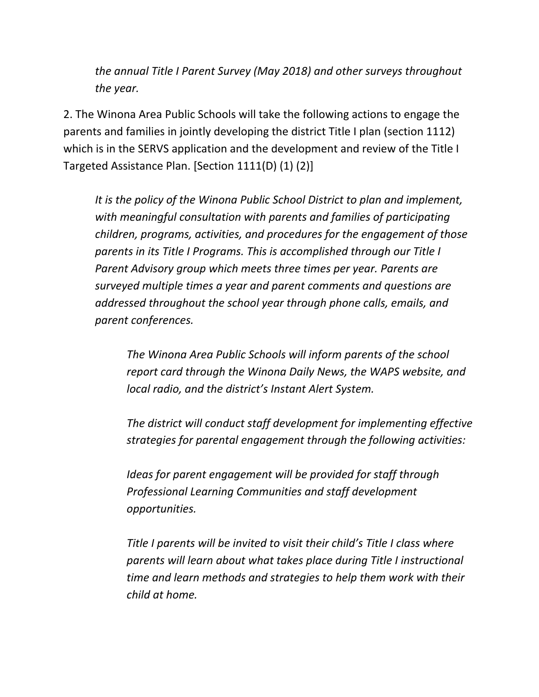*the annual Title I Parent Survey (May 2018) and other surveys throughout the year.*

2. The Winona Area Public Schools will take the following actions to engage the parents and families in jointly developing the district Title I plan (section 1112) which is in the SERVS application and the development and review of the Title I Targeted Assistance Plan. [Section 1111(D) (1) (2)]

*It is the policy of the Winona Public School District to plan and implement, with meaningful consultation with parents and families of participating children, programs, activities, and procedures for the engagement of those parents in its Title I Programs. This is accomplished through our Title I Parent Advisory group which meets three times per year. Parents are surveyed multiple times a year and parent comments and questions are addressed throughout the school year through phone calls, emails, and parent conferences.*

*The Winona Area Public Schools will inform parents of the school report card through the Winona Daily News, the WAPS website, and local radio, and the district's Instant Alert System.*

*The district will conduct staff development for implementing effective strategies for parental engagement through the following activities:*

*Ideas for parent engagement will be provided for staff through Professional Learning Communities and staff development opportunities.*

*Title I parents will be invited to visit their child's Title I class where parents will learn about what takes place during Title I instructional time and learn methods and strategies to help them work with their child at home.*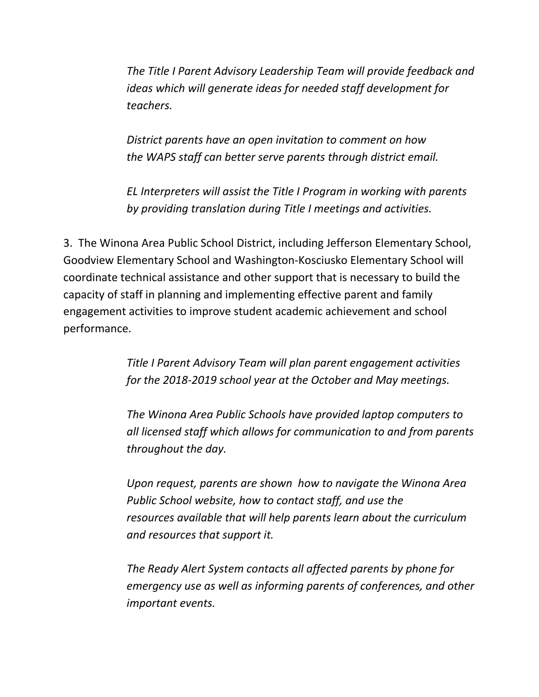*The Title I Parent Advisory Leadership Team will provide feedback and ideas which will generate ideas for needed staff development for teachers.*

*District parents have an open invitation to comment on how the WAPS staff can better serve parents through district email.*

*EL Interpreters will assist the Title I Program in working with parents by providing translation during Title I meetings and activities.*

3. The Winona Area Public School District, including Jefferson Elementary School, Goodview Elementary School and Washington-Kosciusko Elementary School will coordinate technical assistance and other support that is necessary to build the capacity of staff in planning and implementing effective parent and family engagement activities to improve student academic achievement and school performance.

> *Title I Parent Advisory Team will plan parent engagement activities for the 2018-2019 school year at the October and May meetings.*

*The Winona Area Public Schools have provided laptop computers to all licensed staff which allows for communication to and from parents throughout the day.*

*Upon request, parents are shown how to navigate the Winona Area Public School website, how to contact staff, and use the resources available that will help parents learn about the curriculum and resources that support it.*

*The Ready Alert System contacts all affected parents by phone for emergency use as well as informing parents of conferences, and other important events.*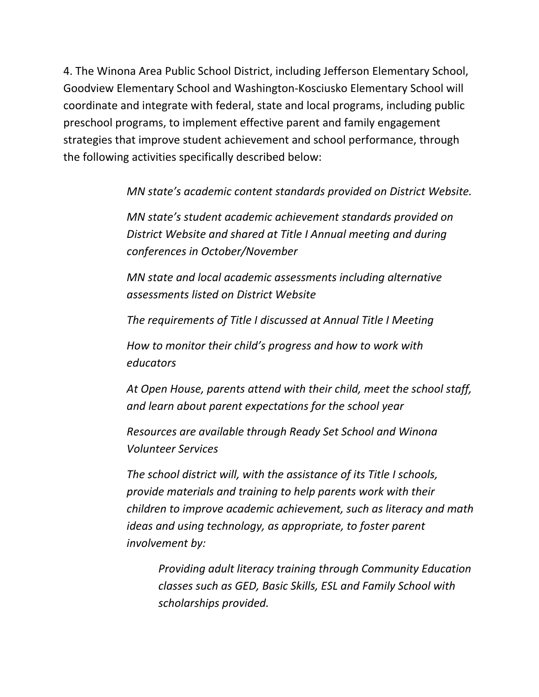4. The Winona Area Public School District, including Jefferson Elementary School, Goodview Elementary School and Washington-Kosciusko Elementary School will coordinate and integrate with federal, state and local programs, including public preschool programs, to implement effective parent and family engagement strategies that improve student achievement and school performance, through the following activities specifically described below:

*MN state's academic content standards provided on District Website.*

*MN state's student academic achievement standards provided on District Website and shared at Title I Annual meeting and during conferences in October/November*

*MN state and local academic assessments including alternative assessments listed on District Website*

*The requirements of Title I discussed at Annual Title I Meeting*

*How to monitor their child's progress and how to work with educators*

*At Open House, parents attend with their child, meet the school staff, and learn about parent expectations for the school year*

*Resources are available through Ready Set School and Winona Volunteer Services*

*The school district will, with the assistance of its Title I schools, provide materials and training to help parents work with their children to improve academic achievement, such as literacy and math ideas and using technology, as appropriate, to foster parent involvement by:*

*Providing adult literacy training through Community Education classes such as GED, Basic Skills, ESL and Family School with scholarships provided.*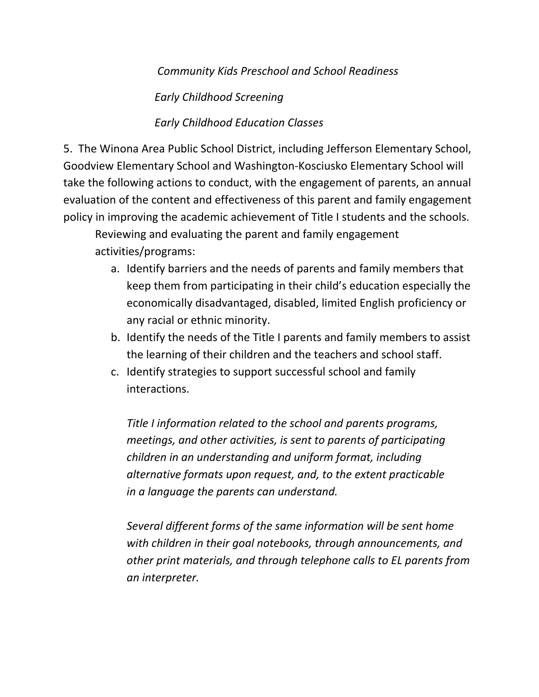#### *Community Kids Preschool and School Readiness*

*Early Childhood Screening*

#### *Early Childhood Education Classes*

5. The Winona Area Public School District, including Jefferson Elementary School, Goodview Elementary School and Washington-Kosciusko Elementary School will take the following actions to conduct, with the engagement of parents, an annual evaluation of the content and effectiveness of this parent and family engagement policy in improving the academic achievement of Title I students and the schools.

Reviewing and evaluating the parent and family engagement activities/programs:

- a. Identify barriers and the needs of parents and family members that keep them from participating in their child's education especially the economically disadvantaged, disabled, limited English proficiency or any racial or ethnic minority.
- b. Identify the needs of the Title I parents and family members to assist the learning of their children and the teachers and school staff.
- c. Identify strategies to support successful school and family interactions.

*Title I information related to the school and parents programs, meetings, and other activities, is sent to parents of participating children in an understanding and uniform format, including alternative formats upon request, and, to the extent practicable in a language the parents can understand.*

*Several different forms of the same information will be sent home with children in their goal notebooks, through announcements, and other print materials, and through telephone calls to EL parents from an interpreter.*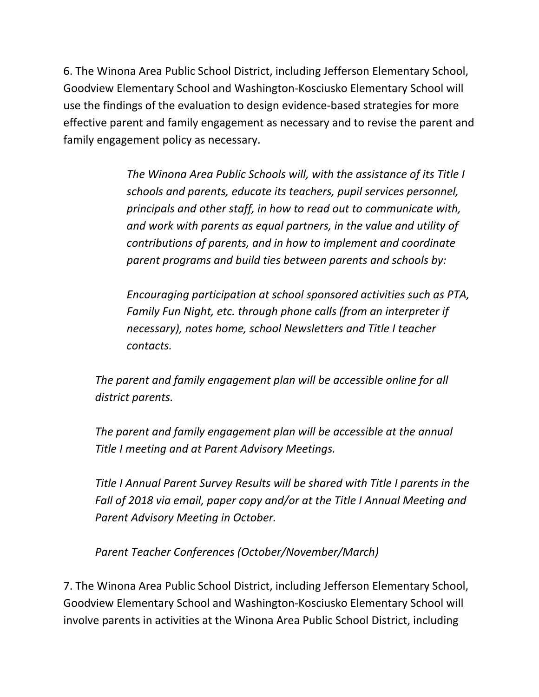6. The Winona Area Public School District, including Jefferson Elementary School, Goodview Elementary School and Washington-Kosciusko Elementary School will use the findings of the evaluation to design evidence-based strategies for more effective parent and family engagement as necessary and to revise the parent and family engagement policy as necessary.

> *The Winona Area Public Schools will, with the assistance of its Title I schools and parents, educate its teachers, pupil services personnel, principals and other staff, in how to read out to communicate with, and work with parents as equal partners, in the value and utility of contributions of parents, and in how to implement and coordinate parent programs and build ties between parents and schools by:*

*Encouraging participation at school sponsored activities such as PTA, Family Fun Night, etc. through phone calls (from an interpreter if necessary), notes home, school Newsletters and Title I teacher contacts.*

*The parent and family engagement plan will be accessible online for all district parents.*

*The parent and family engagement plan will be accessible at the annual Title I meeting and at Parent Advisory Meetings.*

*Title I Annual Parent Survey Results will be shared with Title I parents in the Fall of 2018 via email, paper copy and/or at the Title I Annual Meeting and Parent Advisory Meeting in October.*

*Parent Teacher Conferences (October/November/March)*

7. The Winona Area Public School District, including Jefferson Elementary School, Goodview Elementary School and Washington-Kosciusko Elementary School will involve parents in activities at the Winona Area Public School District, including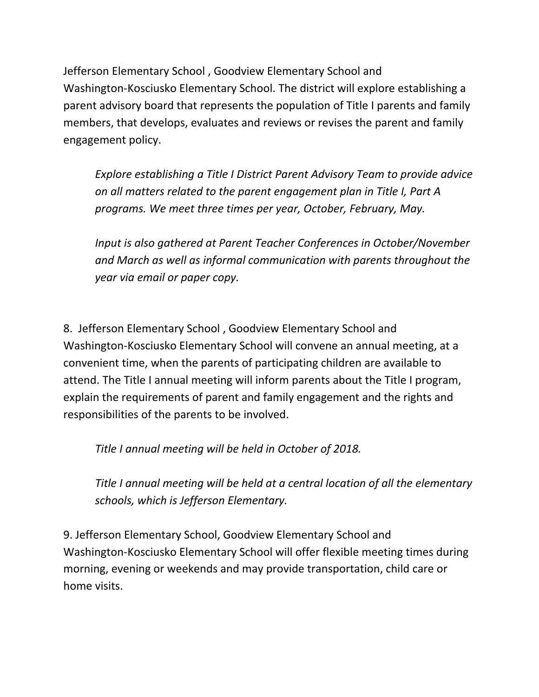Jefferson Elementary School , Goodview Elementary School and Washington-Kosciusko Elementary School. The district will explore establishing a parent advisory board that represents the population of Title I parents and family members, that develops, evaluates and reviews or revises the parent and family engagement policy.

*Explore establishing a Title I District Parent Advisory Team to provide advice on all matters related to the parent engagement plan in Title I, Part A programs. We meet three times per year, October, February, May.*

*Input is also gathered at Parent Teacher Conferences in October/November and March as well as informal communication with parents throughout the year via email or paper copy.*

8. Jefferson Elementary School , Goodview Elementary School and Washington-Kosciusko Elementary School will convene an annual meeting, at a convenient time, when the parents of participating children are available to attend. The Title I annual meeting will inform parents about the Title I program, explain the requirements of parent and family engagement and the rights and responsibilities of the parents to be involved.

*Title I annual meeting will be held in October of 2018.*

*Title I annual meeting will be held at a central location of all the elementary schools, which is Jefferson Elementary.*

9. Jefferson Elementary School, Goodview Elementary School and Washington-Kosciusko Elementary School will offer flexible meeting times during morning, evening or weekends and may provide transportation, child care or home visits.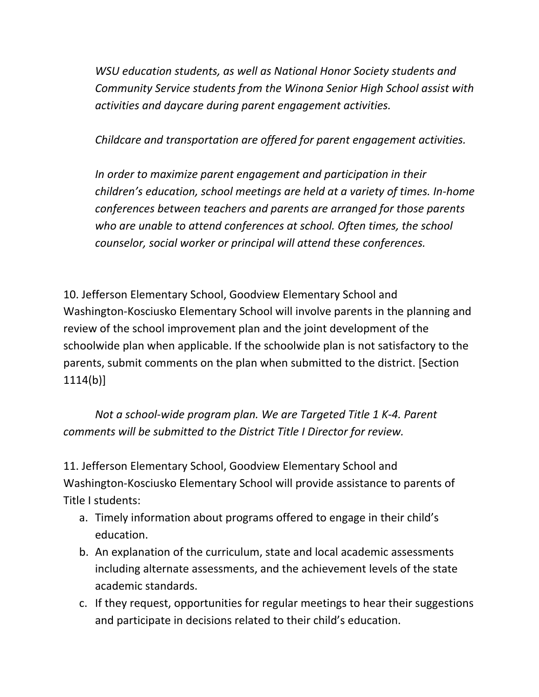*WSU education students, as well as National Honor Society students and Community Service students from the Winona Senior High School assist with activities and daycare during parent engagement activities.*

*Childcare and transportation are offered for parent engagement activities.*

*In order to maximize parent engagement and participation in their children's education, school meetings are held at a variety of times. In-home conferences between teachers and parents are arranged for those parents who are unable to attend conferences at school. Often times, the school counselor, social worker or principal will attend these conferences.*

10. Jefferson Elementary School, Goodview Elementary School and Washington-Kosciusko Elementary School will involve parents in the planning and review of the school improvement plan and the joint development of the schoolwide plan when applicable. If the schoolwide plan is not satisfactory to the parents, submit comments on the plan when submitted to the district. [Section 1114(b)]

*Not a school-wide program plan. We are Targeted Title 1 K-4. Parent comments will be submitted to the District Title I Director for review.*

11. Jefferson Elementary School, Goodview Elementary School and Washington-Kosciusko Elementary School will provide assistance to parents of Title I students:

- a. Timely information about programs offered to engage in their child's education.
- b. An explanation of the curriculum, state and local academic assessments including alternate assessments, and the achievement levels of the state academic standards.
- c. If they request, opportunities for regular meetings to hear their suggestions and participate in decisions related to their child's education.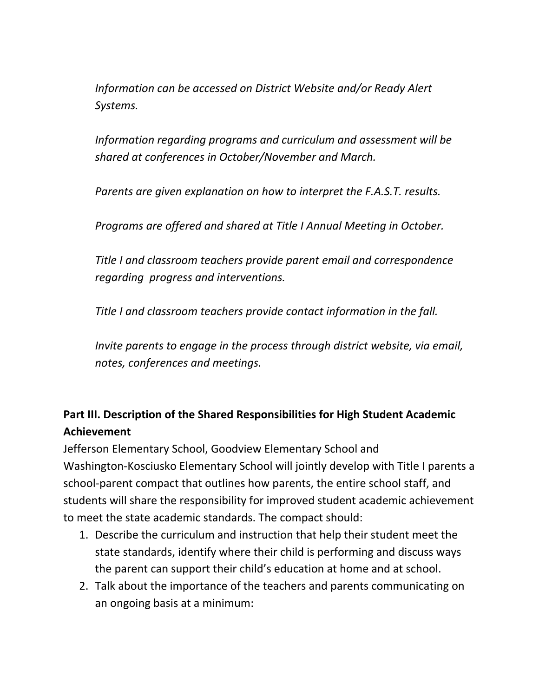*Information can be accessed on District Website and/or Ready Alert Systems.*

*Information regarding programs and curriculum and assessment will be shared at conferences in October/November and March.*

*Parents are given explanation on how to interpret the F.A.S.T. results.*

*Programs are offered and shared at Title I Annual Meeting in October.*

*Title I and classroom teachers provide parent email and correspondence regarding progress and interventions.*

*Title I and classroom teachers provide contact information in the fall.*

*Invite parents to engage in the process through district website, via email, notes, conferences and meetings.*

### **Part III. Description of the Shared Responsibilities for High Student Academic Achievement**

Jefferson Elementary School, Goodview Elementary School and Washington-Kosciusko Elementary School will jointly develop with Title I parents a school-parent compact that outlines how parents, the entire school staff, and students will share the responsibility for improved student academic achievement to meet the state academic standards. The compact should:

- 1. Describe the curriculum and instruction that help their student meet the state standards, identify where their child is performing and discuss ways the parent can support their child's education at home and at school.
- 2. Talk about the importance of the teachers and parents communicating on an ongoing basis at a minimum: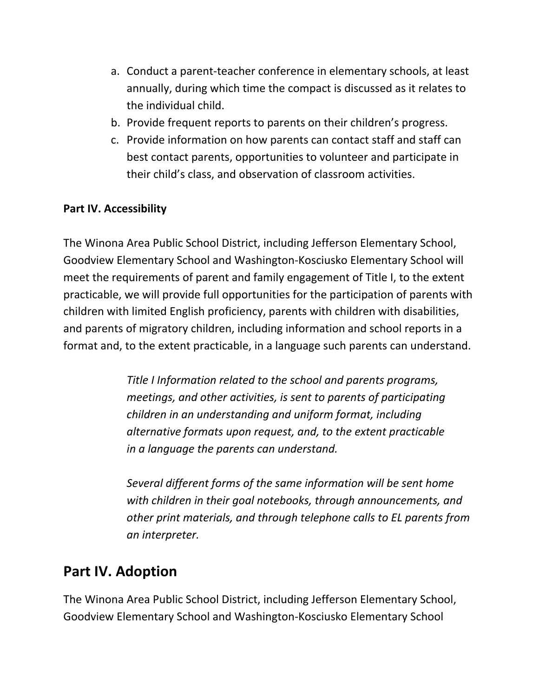- a. Conduct a parent-teacher conference in elementary schools, at least annually, during which time the compact is discussed as it relates to the individual child.
- b. Provide frequent reports to parents on their children's progress.
- c. Provide information on how parents can contact staff and staff can best contact parents, opportunities to volunteer and participate in their child's class, and observation of classroom activities.

#### **Part IV. Accessibility**

The Winona Area Public School District, including Jefferson Elementary School, Goodview Elementary School and Washington-Kosciusko Elementary School will meet the requirements of parent and family engagement of Title I, to the extent practicable, we will provide full opportunities for the participation of parents with children with limited English proficiency, parents with children with disabilities, and parents of migratory children, including information and school reports in a format and, to the extent practicable, in a language such parents can understand.

> *Title I Information related to the school and parents programs, meetings, and other activities, is sent to parents of participating children in an understanding and uniform format, including alternative formats upon request, and, to the extent practicable in a language the parents can understand.*

*Several different forms of the same information will be sent home with children in their goal notebooks, through announcements, and other print materials, and through telephone calls to EL parents from an interpreter.*

## **Part IV. Adoption**

The Winona Area Public School District, including Jefferson Elementary School, Goodview Elementary School and Washington-Kosciusko Elementary School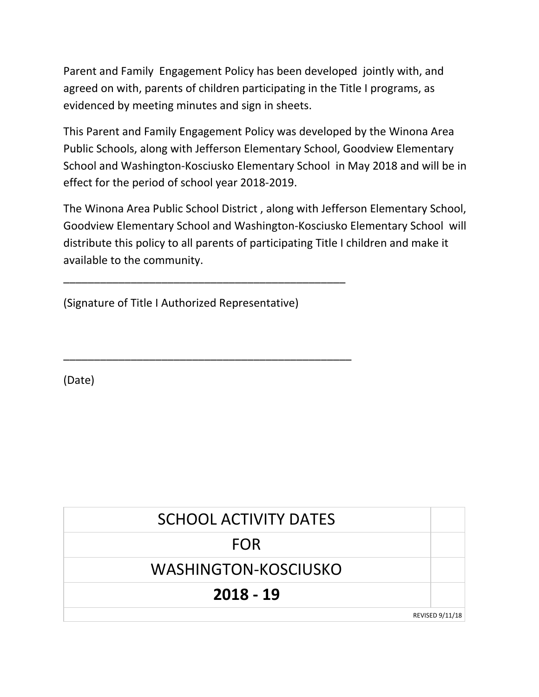Parent and Family Engagement Policy has been developed jointly with, and agreed on with, parents of children participating in the Title I programs, as evidenced by meeting minutes and sign in sheets.

This Parent and Family Engagement Policy was developed by the Winona Area Public Schools, along with Jefferson Elementary School, Goodview Elementary School and Washington-Kosciusko Elementary School in May 2018 and will be in effect for the period of school year 2018-2019.

The Winona Area Public School District , along with Jefferson Elementary School, Goodview Elementary School and Washington-Kosciusko Elementary School will distribute this policy to all parents of participating Title I children and make it available to the community.

(Signature of Title I Authorized Representative)

\_\_\_\_\_\_\_\_\_\_\_\_\_\_\_\_\_\_\_\_\_\_\_\_\_\_\_\_\_\_\_\_\_\_\_\_\_\_\_\_\_\_\_\_\_\_

\_\_\_\_\_\_\_\_\_\_\_\_\_\_\_\_\_\_\_\_\_\_\_\_\_\_\_\_\_\_\_\_\_\_\_\_\_\_\_\_\_\_\_\_\_\_\_

(Date)

| <b>SCHOOL ACTIVITY DATES</b> |                        |
|------------------------------|------------------------|
| <b>FOR</b>                   |                        |
| WASHINGTON-KOSCIUSKO         |                        |
| $2018 - 19$                  |                        |
|                              | <b>REVISED 9/11/18</b> |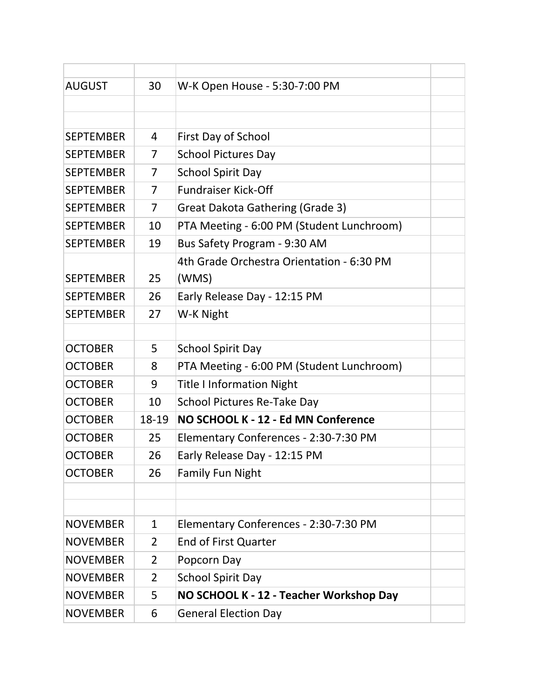| <b>AUGUST</b>    | 30             | W-K Open House - 5:30-7:00 PM             |  |
|------------------|----------------|-------------------------------------------|--|
|                  |                |                                           |  |
|                  |                |                                           |  |
| <b>SEPTEMBER</b> | 4              | First Day of School                       |  |
| <b>SEPTEMBER</b> | $\overline{7}$ | <b>School Pictures Day</b>                |  |
| <b>SEPTEMBER</b> | 7              | <b>School Spirit Day</b>                  |  |
| <b>SEPTEMBER</b> | $\overline{7}$ | <b>Fundraiser Kick-Off</b>                |  |
| <b>SEPTEMBER</b> | $\overline{7}$ | Great Dakota Gathering (Grade 3)          |  |
| <b>SEPTEMBER</b> | 10             | PTA Meeting - 6:00 PM (Student Lunchroom) |  |
| <b>SEPTEMBER</b> | 19             | Bus Safety Program - 9:30 AM              |  |
|                  |                | 4th Grade Orchestra Orientation - 6:30 PM |  |
| <b>SEPTEMBER</b> | 25             | (WMS)                                     |  |
| <b>SEPTEMBER</b> | 26             | Early Release Day - 12:15 PM              |  |
| <b>SEPTEMBER</b> | 27             | W-K Night                                 |  |
|                  |                |                                           |  |
| <b>OCTOBER</b>   | 5              | <b>School Spirit Day</b>                  |  |
| <b>OCTOBER</b>   | 8              | PTA Meeting - 6:00 PM (Student Lunchroom) |  |
| <b>OCTOBER</b>   | 9              | <b>Title I Information Night</b>          |  |
| <b>OCTOBER</b>   | 10             | School Pictures Re-Take Day               |  |
| <b>OCTOBER</b>   | 18-19          | NO SCHOOL K - 12 - Ed MN Conference       |  |
| <b>OCTOBER</b>   | 25             | Elementary Conferences - 2:30-7:30 PM     |  |
| <b>OCTOBER</b>   | 26             | Early Release Day - 12:15 PM              |  |
| <b>OCTOBER</b>   | 26             | <b>Family Fun Night</b>                   |  |
|                  |                |                                           |  |
|                  |                |                                           |  |
| <b>NOVEMBER</b>  | $\mathbf{1}$   | Elementary Conferences - 2:30-7:30 PM     |  |
| <b>NOVEMBER</b>  | $\overline{2}$ | <b>End of First Quarter</b>               |  |
| <b>NOVEMBER</b>  | 2              | Popcorn Day                               |  |
| <b>NOVEMBER</b>  | $\overline{2}$ | <b>School Spirit Day</b>                  |  |
| <b>NOVEMBER</b>  | 5              | NO SCHOOL K - 12 - Teacher Workshop Day   |  |
| <b>NOVEMBER</b>  | 6              | <b>General Election Day</b>               |  |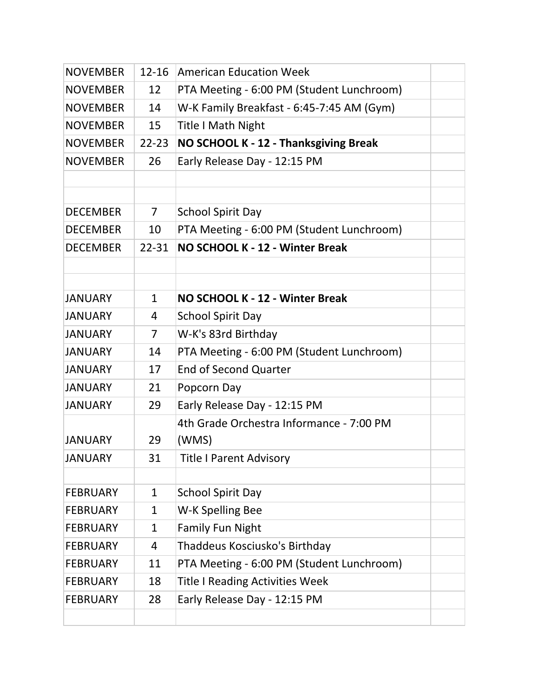| <b>NOVEMBER</b> | $12 - 16$    | <b>American Education Week</b>            |  |
|-----------------|--------------|-------------------------------------------|--|
| <b>NOVEMBER</b> | 12           | PTA Meeting - 6:00 PM (Student Lunchroom) |  |
| <b>NOVEMBER</b> | 14           | W-K Family Breakfast - 6:45-7:45 AM (Gym) |  |
| <b>NOVEMBER</b> | 15           | <b>Title I Math Night</b>                 |  |
| <b>NOVEMBER</b> | $22 - 23$    | NO SCHOOL K - 12 - Thanksgiving Break     |  |
| <b>NOVEMBER</b> | 26           | Early Release Day - 12:15 PM              |  |
|                 |              |                                           |  |
|                 |              |                                           |  |
| <b>DECEMBER</b> | 7            | <b>School Spirit Day</b>                  |  |
| <b>DECEMBER</b> | 10           | PTA Meeting - 6:00 PM (Student Lunchroom) |  |
| <b>DECEMBER</b> | 22-31        | NO SCHOOL K - 12 - Winter Break           |  |
|                 |              |                                           |  |
|                 |              |                                           |  |
| <b>JANUARY</b>  | $\mathbf{1}$ | NO SCHOOL K - 12 - Winter Break           |  |
| <b>JANUARY</b>  | 4            | <b>School Spirit Day</b>                  |  |
| <b>JANUARY</b>  | 7            | W-K's 83rd Birthday                       |  |
| <b>JANUARY</b>  | 14           | PTA Meeting - 6:00 PM (Student Lunchroom) |  |
| <b>JANUARY</b>  | 17           | <b>End of Second Quarter</b>              |  |
| <b>JANUARY</b>  | 21           | Popcorn Day                               |  |
| <b>JANUARY</b>  | 29           | Early Release Day - 12:15 PM              |  |
|                 |              | 4th Grade Orchestra Informance - 7:00 PM  |  |
| <b>JANUARY</b>  | 29           | (WMS)                                     |  |
| <b>JANUARY</b>  | 31           | Title I Parent Advisory                   |  |
|                 |              |                                           |  |
| <b>FEBRUARY</b> | $\mathbf{1}$ | <b>School Spirit Day</b>                  |  |
| <b>FEBRUARY</b> | $\mathbf{1}$ | W-K Spelling Bee                          |  |
| <b>FEBRUARY</b> | $\mathbf{1}$ | <b>Family Fun Night</b>                   |  |
| <b>FEBRUARY</b> | 4            | Thaddeus Kosciusko's Birthday             |  |
| <b>FEBRUARY</b> | 11           | PTA Meeting - 6:00 PM (Student Lunchroom) |  |
| <b>FEBRUARY</b> | 18           | <b>Title I Reading Activities Week</b>    |  |
| <b>FEBRUARY</b> | 28           | Early Release Day - 12:15 PM              |  |
|                 |              |                                           |  |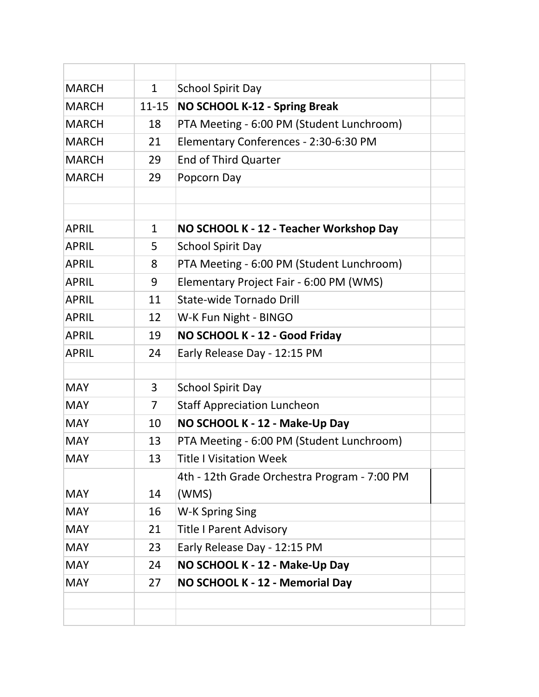| <b>MARCH</b> | $\mathbf{1}$   | <b>School Spirit Day</b>                                                   |  |
|--------------|----------------|----------------------------------------------------------------------------|--|
| <b>MARCH</b> | $11 - 15$      | NO SCHOOL K-12 - Spring Break                                              |  |
| <b>MARCH</b> | 18             | PTA Meeting - 6:00 PM (Student Lunchroom)                                  |  |
| <b>MARCH</b> | 21             | Elementary Conferences - 2:30-6:30 PM                                      |  |
| <b>MARCH</b> | 29             | <b>End of Third Quarter</b>                                                |  |
| <b>MARCH</b> | 29             | Popcorn Day                                                                |  |
|              |                |                                                                            |  |
| <b>APRIL</b> | $\mathbf{1}$   | NO SCHOOL K - 12 - Teacher Workshop Day                                    |  |
| <b>APRIL</b> | 5              | <b>School Spirit Day</b>                                                   |  |
| <b>APRIL</b> | 8              | PTA Meeting - 6:00 PM (Student Lunchroom)                                  |  |
| <b>APRIL</b> | 9              |                                                                            |  |
|              |                | Elementary Project Fair - 6:00 PM (WMS)<br><b>State-wide Tornado Drill</b> |  |
| <b>APRIL</b> | 11             |                                                                            |  |
| <b>APRIL</b> | 12             | W-K Fun Night - BINGO                                                      |  |
| <b>APRIL</b> | 19             | NO SCHOOL K - 12 - Good Friday                                             |  |
| <b>APRIL</b> | 24             | Early Release Day - 12:15 PM                                               |  |
| <b>MAY</b>   | 3              | <b>School Spirit Day</b>                                                   |  |
| <b>MAY</b>   | $\overline{7}$ | <b>Staff Appreciation Luncheon</b>                                         |  |
| <b>MAY</b>   | 10             | NO SCHOOL K - 12 - Make-Up Day                                             |  |
| <b>MAY</b>   | 13             | PTA Meeting - 6:00 PM (Student Lunchroom)                                  |  |
| <b>MAY</b>   | 13             | <b>Title I Visitation Week</b>                                             |  |
|              |                | 4th - 12th Grade Orchestra Program - 7:00 PM                               |  |
| <b>MAY</b>   | 14             | (WMS)                                                                      |  |
| <b>MAY</b>   | 16             | W-K Spring Sing                                                            |  |
| <b>MAY</b>   | 21             | <b>Title I Parent Advisory</b>                                             |  |
| <b>MAY</b>   | 23             | Early Release Day - 12:15 PM                                               |  |
| <b>MAY</b>   | 24             | NO SCHOOL K - 12 - Make-Up Day                                             |  |
| <b>MAY</b>   | 27             | NO SCHOOL K - 12 - Memorial Day                                            |  |
|              |                |                                                                            |  |
|              |                |                                                                            |  |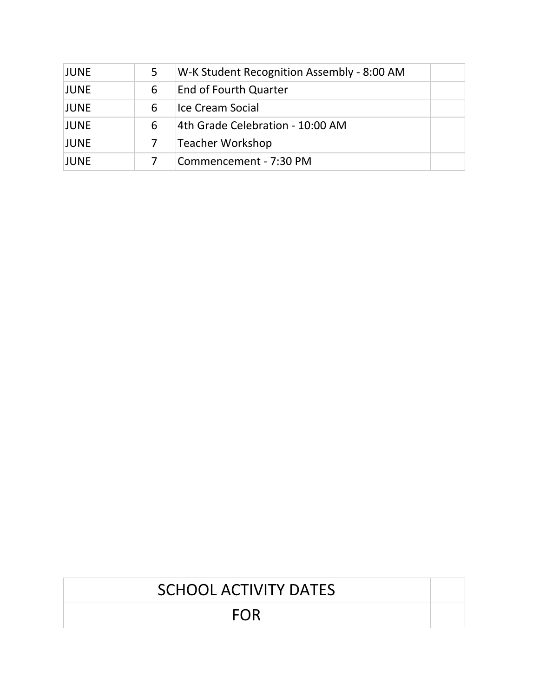| <b>JUNE</b> | 5 | W-K Student Recognition Assembly - 8:00 AM |  |
|-------------|---|--------------------------------------------|--|
| <b>JUNE</b> | 6 | <b>End of Fourth Quarter</b>               |  |
| <b>JUNE</b> | 6 | Ice Cream Social                           |  |
| <b>JUNE</b> | 6 | 4th Grade Celebration - 10:00 AM           |  |
| <b>JUNE</b> |   | Teacher Workshop                           |  |
| <b>JUNE</b> |   | Commencement - 7:30 PM                     |  |

| <b>SCHOOL ACTIVITY DATES</b> |  |
|------------------------------|--|
| FOR                          |  |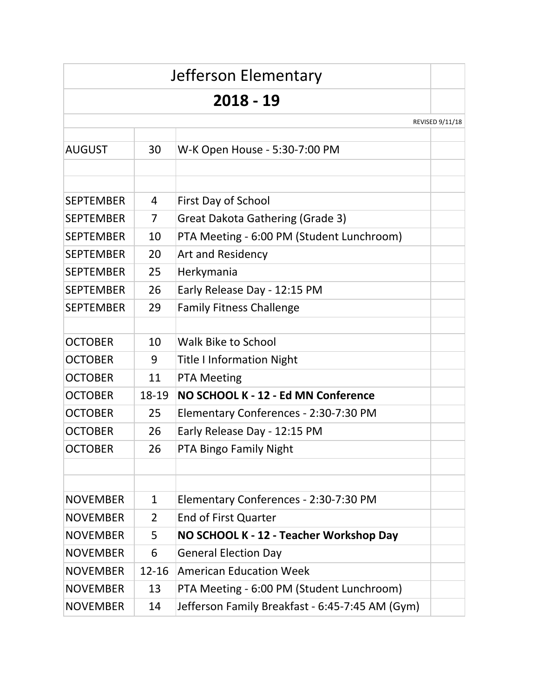|                  |                | Jefferson Elementary                            |                 |
|------------------|----------------|-------------------------------------------------|-----------------|
|                  |                | 2018 - 19                                       |                 |
|                  |                |                                                 | REVISED 9/11/18 |
| <b>AUGUST</b>    | 30             | W-K Open House - 5:30-7:00 PM                   |                 |
| <b>SEPTEMBER</b> | 4              | First Day of School                             |                 |
| <b>SEPTEMBER</b> | $\overline{7}$ | Great Dakota Gathering (Grade 3)                |                 |
| <b>SEPTEMBER</b> | 10             | PTA Meeting - 6:00 PM (Student Lunchroom)       |                 |
| <b>SEPTEMBER</b> | 20             | <b>Art and Residency</b>                        |                 |
| <b>SEPTEMBER</b> | 25             | Herkymania                                      |                 |
| <b>SEPTEMBER</b> | 26             | Early Release Day - 12:15 PM                    |                 |
| <b>SEPTEMBER</b> | 29             | <b>Family Fitness Challenge</b>                 |                 |
| <b>OCTOBER</b>   | 10             | <b>Walk Bike to School</b>                      |                 |
| <b>OCTOBER</b>   | 9              | <b>Title I Information Night</b>                |                 |
| <b>OCTOBER</b>   | 11             | <b>PTA Meeting</b>                              |                 |
| <b>OCTOBER</b>   | 18-19          | NO SCHOOL K - 12 - Ed MN Conference             |                 |
| <b>OCTOBER</b>   | 25             | Elementary Conferences - 2:30-7:30 PM           |                 |
| <b>OCTOBER</b>   | 26             | Early Release Day - 12:15 PM                    |                 |
| <b>OCTOBER</b>   | 26             | PTA Bingo Family Night                          |                 |
|                  |                |                                                 |                 |
| <b>NOVEMBER</b>  | $\mathbf{1}$   | Elementary Conferences - 2:30-7:30 PM           |                 |
| <b>NOVEMBER</b>  | 2              | <b>End of First Quarter</b>                     |                 |
| <b>NOVEMBER</b>  | 5              | NO SCHOOL K - 12 - Teacher Workshop Day         |                 |
| <b>NOVEMBER</b>  | 6              | <b>General Election Day</b>                     |                 |
| <b>NOVEMBER</b>  | $12 - 16$      | <b>American Education Week</b>                  |                 |
| <b>NOVEMBER</b>  | 13             | PTA Meeting - 6:00 PM (Student Lunchroom)       |                 |
| <b>NOVEMBER</b>  | 14             | Jefferson Family Breakfast - 6:45-7:45 AM (Gym) |                 |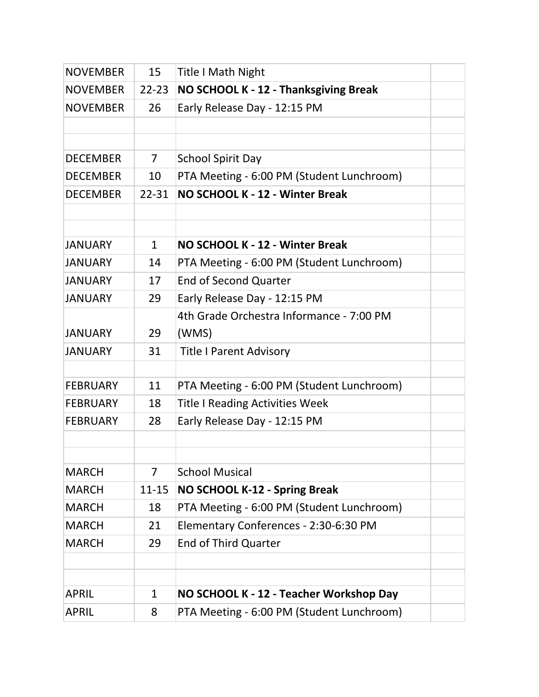| <b>NOVEMBER</b> | 15             | <b>Title I Math Night</b>                 |  |
|-----------------|----------------|-------------------------------------------|--|
| <b>NOVEMBER</b> | $22 - 23$      | NO SCHOOL K - 12 - Thanksgiving Break     |  |
| <b>NOVEMBER</b> | 26             | Early Release Day - 12:15 PM              |  |
|                 |                |                                           |  |
|                 |                |                                           |  |
| <b>DECEMBER</b> | $\overline{7}$ | <b>School Spirit Day</b>                  |  |
| <b>DECEMBER</b> | 10             | PTA Meeting - 6:00 PM (Student Lunchroom) |  |
| <b>DECEMBER</b> | 22-31          | NO SCHOOL K - 12 - Winter Break           |  |
|                 |                |                                           |  |
|                 |                |                                           |  |
| <b>JANUARY</b>  | $\mathbf{1}$   | NO SCHOOL K - 12 - Winter Break           |  |
| <b>JANUARY</b>  | 14             | PTA Meeting - 6:00 PM (Student Lunchroom) |  |
| <b>JANUARY</b>  | 17             | <b>End of Second Quarter</b>              |  |
| <b>JANUARY</b>  | 29             | Early Release Day - 12:15 PM              |  |
|                 |                | 4th Grade Orchestra Informance - 7:00 PM  |  |
| <b>JANUARY</b>  | 29             | (WMS)                                     |  |
| <b>JANUARY</b>  | 31             | <b>Title I Parent Advisory</b>            |  |
|                 |                |                                           |  |
| <b>FEBRUARY</b> | 11             | PTA Meeting - 6:00 PM (Student Lunchroom) |  |
| <b>FEBRUARY</b> | 18             | <b>Title I Reading Activities Week</b>    |  |
| <b>FEBRUARY</b> | 28             | Early Release Day - 12:15 PM              |  |
|                 |                |                                           |  |
|                 |                |                                           |  |
| <b>MARCH</b>    | 7              | <b>School Musical</b>                     |  |
| <b>MARCH</b>    | $11 - 15$      | <b>NO SCHOOL K-12 - Spring Break</b>      |  |
| <b>MARCH</b>    | 18             | PTA Meeting - 6:00 PM (Student Lunchroom) |  |
| <b>MARCH</b>    | 21             | Elementary Conferences - 2:30-6:30 PM     |  |
| <b>MARCH</b>    | 29             | <b>End of Third Quarter</b>               |  |
|                 |                |                                           |  |
|                 |                |                                           |  |
| <b>APRIL</b>    | $\mathbf{1}$   | NO SCHOOL K - 12 - Teacher Workshop Day   |  |
| <b>APRIL</b>    | 8              | PTA Meeting - 6:00 PM (Student Lunchroom) |  |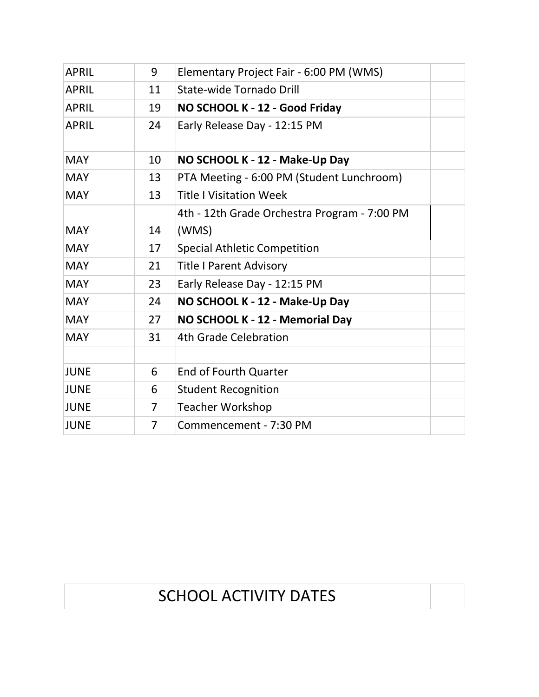| <b>APRIL</b> | 9  | Elementary Project Fair - 6:00 PM (WMS)      |  |
|--------------|----|----------------------------------------------|--|
| <b>APRIL</b> | 11 | State-wide Tornado Drill                     |  |
| <b>APRIL</b> | 19 | NO SCHOOL K - 12 - Good Friday               |  |
| <b>APRIL</b> | 24 | Early Release Day - 12:15 PM                 |  |
|              |    |                                              |  |
| <b>MAY</b>   | 10 | NO SCHOOL K - 12 - Make-Up Day               |  |
| <b>MAY</b>   | 13 | PTA Meeting - 6:00 PM (Student Lunchroom)    |  |
| <b>MAY</b>   | 13 | <b>Title I Visitation Week</b>               |  |
|              |    | 4th - 12th Grade Orchestra Program - 7:00 PM |  |
| <b>MAY</b>   | 14 | (WMS)                                        |  |
| <b>MAY</b>   | 17 | <b>Special Athletic Competition</b>          |  |
| <b>MAY</b>   | 21 | <b>Title I Parent Advisory</b>               |  |
| <b>MAY</b>   | 23 | Early Release Day - 12:15 PM                 |  |
| <b>MAY</b>   | 24 | NO SCHOOL K - 12 - Make-Up Day               |  |
| <b>MAY</b>   | 27 | NO SCHOOL K - 12 - Memorial Day              |  |
| <b>MAY</b>   | 31 | 4th Grade Celebration                        |  |
|              |    |                                              |  |
| <b>JUNE</b>  | 6  | <b>End of Fourth Quarter</b>                 |  |
| <b>JUNE</b>  | 6  | <b>Student Recognition</b>                   |  |
| <b>JUNE</b>  | 7  | <b>Teacher Workshop</b>                      |  |
| <b>JUNE</b>  | 7  | Commencement - 7:30 PM                       |  |

# SCHOOL ACTIVITY DATES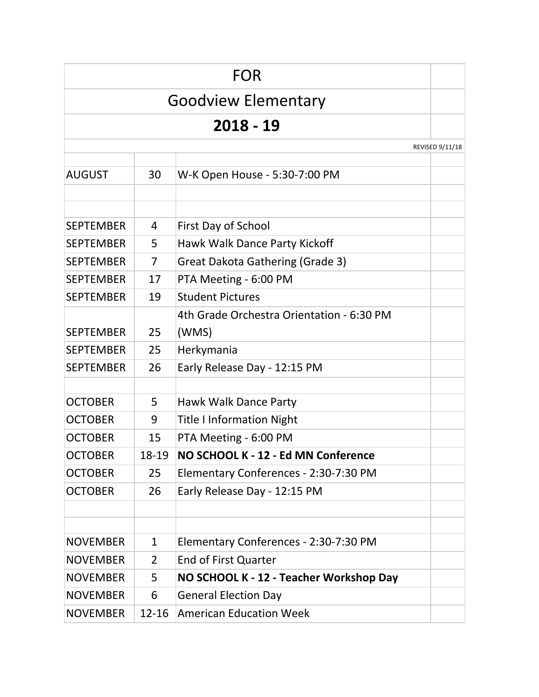|                  |                | FOR                                                                    |                 |
|------------------|----------------|------------------------------------------------------------------------|-----------------|
|                  |                | <b>Goodview Elementary</b>                                             |                 |
|                  |                | 2018 - 19                                                              |                 |
|                  |                |                                                                        | REVISED 9/11/18 |
|                  |                |                                                                        |                 |
| <b>AUGUST</b>    | 30             | W-K Open House - 5:30-7:00 PM                                          |                 |
|                  |                |                                                                        |                 |
| <b>SEPTEMBER</b> | 4              | First Day of School                                                    |                 |
| <b>SEPTEMBER</b> | 5              | Hawk Walk Dance Party Kickoff                                          |                 |
| <b>SEPTEMBER</b> | 7              | <b>Great Dakota Gathering (Grade 3)</b>                                |                 |
| <b>SEPTEMBER</b> | 17             | PTA Meeting - 6:00 PM                                                  |                 |
| <b>SEPTEMBER</b> | 19             | <b>Student Pictures</b>                                                |                 |
|                  |                | 4th Grade Orchestra Orientation - 6:30 PM                              |                 |
| <b>SEPTEMBER</b> | 25             | (WMS)                                                                  |                 |
| <b>SEPTEMBER</b> | 25             | Herkymania                                                             |                 |
| <b>SEPTEMBER</b> | 26             | Early Release Day - 12:15 PM                                           |                 |
|                  |                |                                                                        |                 |
| <b>OCTOBER</b>   | 5              | Hawk Walk Dance Party                                                  |                 |
| <b>OCTOBER</b>   | 9              | <b>Title I Information Night</b>                                       |                 |
| <b>OCTOBER</b>   | 15             | PTA Meeting - 6:00 PM                                                  |                 |
| <b>OCTOBER</b>   | 18-19          | NO SCHOOL K - 12 - Ed MN Conference                                    |                 |
| <b>OCTOBER</b>   | 25             | Elementary Conferences - 2:30-7:30 PM                                  |                 |
| <b>OCTOBER</b>   | 26             | Early Release Day - 12:15 PM                                           |                 |
|                  |                |                                                                        |                 |
| <b>NOVEMBER</b>  | 1              | Elementary Conferences - 2:30-7:30 PM                                  |                 |
| <b>NOVEMBER</b>  | $\overline{2}$ | End of First Quarter                                                   |                 |
| <b>NOVEMBER</b>  | 5              |                                                                        |                 |
| <b>NOVEMBER</b>  | 6              | NO SCHOOL K - 12 - Teacher Workshop Day<br><b>General Election Day</b> |                 |
|                  |                | <b>American Education Week</b>                                         |                 |
| <b>NOVEMBER</b>  | $12 - 16$      |                                                                        |                 |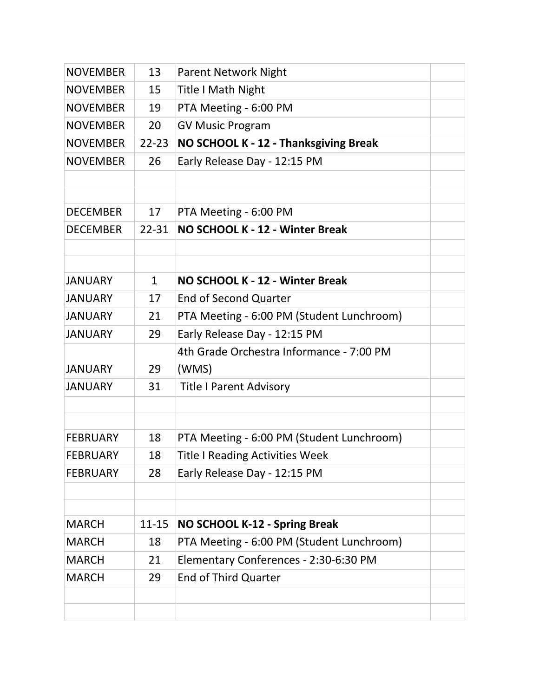| <b>NOVEMBER</b> | 13           | <b>Parent Network Night</b>               |  |
|-----------------|--------------|-------------------------------------------|--|
| <b>NOVEMBER</b> | 15           | <b>Title I Math Night</b>                 |  |
| <b>NOVEMBER</b> | 19           | PTA Meeting - 6:00 PM                     |  |
| <b>NOVEMBER</b> | 20           | <b>GV Music Program</b>                   |  |
| <b>NOVEMBER</b> | $22 - 23$    | NO SCHOOL K - 12 - Thanksgiving Break     |  |
| <b>NOVEMBER</b> | 26           | Early Release Day - 12:15 PM              |  |
|                 |              |                                           |  |
|                 |              |                                           |  |
| <b>DECEMBER</b> | 17           | PTA Meeting - 6:00 PM                     |  |
| <b>DECEMBER</b> | $22 - 31$    | NO SCHOOL K - 12 - Winter Break           |  |
|                 |              |                                           |  |
| <b>JANUARY</b>  | $\mathbf{1}$ | NO SCHOOL K - 12 - Winter Break           |  |
|                 |              |                                           |  |
| <b>JANUARY</b>  | 17           | <b>End of Second Quarter</b>              |  |
| <b>JANUARY</b>  | 21           | PTA Meeting - 6:00 PM (Student Lunchroom) |  |
| <b>JANUARY</b>  | 29           | Early Release Day - 12:15 PM              |  |
|                 |              | 4th Grade Orchestra Informance - 7:00 PM  |  |
| <b>JANUARY</b>  | 29           | (WMS)                                     |  |
| <b>JANUARY</b>  | 31           | <b>Title I Parent Advisory</b>            |  |
|                 |              |                                           |  |
|                 |              |                                           |  |
| <b>FEBRUARY</b> | 18           | PTA Meeting - 6:00 PM (Student Lunchroom) |  |
| <b>FEBRUARY</b> | 18           | <b>Title I Reading Activities Week</b>    |  |
| <b>FEBRUARY</b> | 28           | Early Release Day - 12:15 PM              |  |
|                 |              |                                           |  |
| <b>MARCH</b>    | $11 - 15$    | NO SCHOOL K-12 - Spring Break             |  |
| <b>MARCH</b>    | 18           | PTA Meeting - 6:00 PM (Student Lunchroom) |  |
| <b>MARCH</b>    | 21           | Elementary Conferences - 2:30-6:30 PM     |  |
| <b>MARCH</b>    | 29           | <b>End of Third Quarter</b>               |  |
|                 |              |                                           |  |
|                 |              |                                           |  |